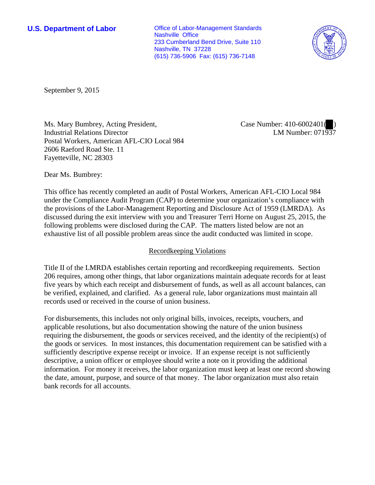**U.S. Department of Labor Office of Labor-Management Standards** Nashville Office 233 Cumberland Bend Drive, Suite 110 Nashville, TN 37228 (615) 736-5906 Fax: (615) 736-7148



September 9, 2015

Ms. Mary Bumbrey, Acting President, Industrial Relations Director Postal Workers, American AFL-CIO Local 984 2606 Raeford Road Ste. 11 Fayetteville, NC 28303

Case Number: 410-6002401( ) LM Number: 071937

Dear Ms. Bumbrey:

This office has recently completed an audit of Postal Workers, American AFL-CIO Local 984 under the Compliance Audit Program (CAP) to determine your organization's compliance with the provisions of the Labor-Management Reporting and Disclosure Act of 1959 (LMRDA). As discussed during the exit interview with you and Treasurer Terri Horne on August 25, 2015, the following problems were disclosed during the CAP. The matters listed below are not an exhaustive list of all possible problem areas since the audit conducted was limited in scope.

## Recordkeeping Violations

Title II of the LMRDA establishes certain reporting and recordkeeping requirements. Section 206 requires, among other things, that labor organizations maintain adequate records for at least five years by which each receipt and disbursement of funds, as well as all account balances, can be verified, explained, and clarified. As a general rule, labor organizations must maintain all records used or received in the course of union business.

For disbursements, this includes not only original bills, invoices, receipts, vouchers, and applicable resolutions, but also documentation showing the nature of the union business requiring the disbursement, the goods or services received, and the identity of the recipient(s) of the goods or services. In most instances, this documentation requirement can be satisfied with a sufficiently descriptive expense receipt or invoice. If an expense receipt is not sufficiently descriptive, a union officer or employee should write a note on it providing the additional information. For money it receives, the labor organization must keep at least one record showing the date, amount, purpose, and source of that money. The labor organization must also retain bank records for all accounts.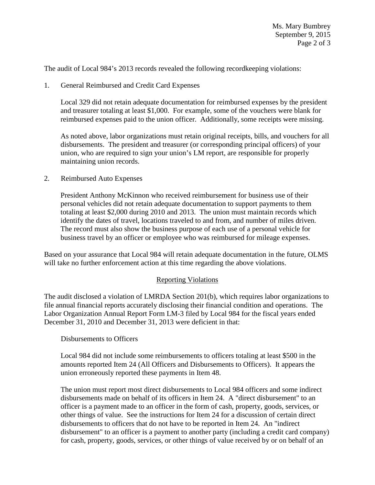The audit of Local 984's 2013 records revealed the following recordkeeping violations:

1. General Reimbursed and Credit Card Expenses

Local 329 did not retain adequate documentation for reimbursed expenses by the president and treasurer totaling at least \$1,000. For example, some of the vouchers were blank for reimbursed expenses paid to the union officer. Additionally, some receipts were missing.

As noted above, labor organizations must retain original receipts, bills, and vouchers for all disbursements. The president and treasurer (or corresponding principal officers) of your union, who are required to sign your union's LM report, are responsible for properly maintaining union records.

## 2. Reimbursed Auto Expenses

President Anthony McKinnon who received reimbursement for business use of their personal vehicles did not retain adequate documentation to support payments to them totaling at least \$2,000 during 2010 and 2013. The union must maintain records which identify the dates of travel, locations traveled to and from, and number of miles driven. The record must also show the business purpose of each use of a personal vehicle for business travel by an officer or employee who was reimbursed for mileage expenses.

Based on your assurance that Local 984 will retain adequate documentation in the future, OLMS will take no further enforcement action at this time regarding the above violations.

## Reporting Violations

The audit disclosed a violation of LMRDA Section 201(b), which requires labor organizations to file annual financial reports accurately disclosing their financial condition and operations. The Labor Organization Annual Report Form LM-3 filed by Local 984 for the fiscal years ended December 31, 2010 and December 31, 2013 were deficient in that:

## Disbursements to Officers

Local 984 did not include some reimbursements to officers totaling at least \$500 in the amounts reported Item 24 (All Officers and Disbursements to Officers). It appears the union erroneously reported these payments in Item 48.

The union must report most direct disbursements to Local 984 officers and some indirect disbursements made on behalf of its officers in Item 24. A "direct disbursement" to an officer is a payment made to an officer in the form of cash, property, goods, services, or other things of value. See the instructions for Item 24 for a discussion of certain direct disbursements to officers that do not have to be reported in Item 24. An "indirect disbursement" to an officer is a payment to another party (including a credit card company) for cash, property, goods, services, or other things of value received by or on behalf of an